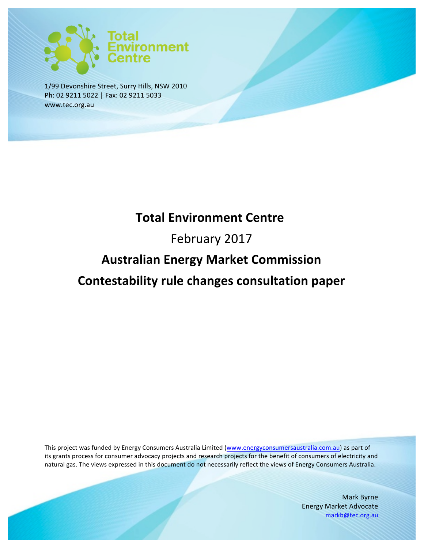

1/99 Devonshire Street, Surry Hills, NSW 2010 Ph: 02 9211 5022 | Fax: 02 9211 5033 www.tec.org.au

# **Total Environment Centre**

# February 2017

# **Australian Energy Market Commission Contestability rule changes consultation paper**

This project was funded by Energy Consumers Australia Limited (www.energyconsumersaustralia.com.au) as part of its grants process for consumer advocacy projects and research projects for the benefit of consumers of electricity and natural gas. The views expressed in this document do not necessarily reflect the views of Energy Consumers Australia.

> Mark Byrne Energy Market Advocate markb@tec.org.au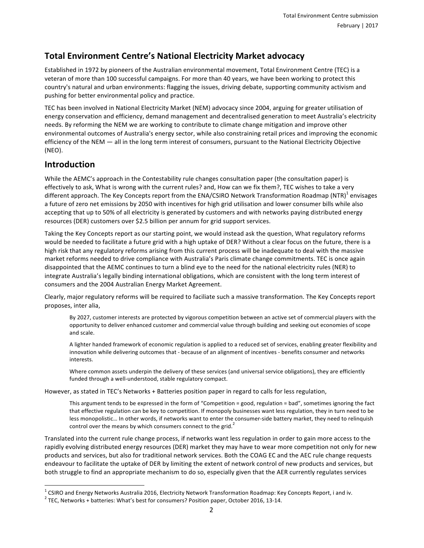### **Total Environment Centre's National Electricity Market advocacy**

Established in 1972 by pioneers of the Australian environmental movement, Total Environment Centre (TEC) is a veteran of more than 100 successful campaigns. For more than 40 years, we have been working to protect this country's natural and urban environments: flagging the issues, driving debate, supporting community activism and pushing for better environmental policy and practice.

TEC has been involved in National Electricity Market (NEM) advocacy since 2004, arguing for greater utilisation of energy conservation and efficiency, demand management and decentralised generation to meet Australia's electricity needs. By reforming the NEM we are working to contribute to climate change mitigation and improve other environmental outcomes of Australia's energy sector, while also constraining retail prices and improving the economic efficiency of the NEM — all in the long term interest of consumers, pursuant to the National Electricity Objective (NEO).

#### **Introduction**

While the AEMC's approach in the Contestability rule changes consultation paper (the consultation paper) is effectively to ask, What is wrong with the current rules? and, How can we fix them?, TEC wishes to take a very different approach. The Key Concepts report from the ENA/CSIRO Network Transformation Roadmap (NTR)<sup>1</sup> envisages a future of zero net emissions by 2050 with incentives for high grid utilisation and lower consumer bills while also accepting that up to 50% of all electricity is generated by customers and with networks paying distributed energy resources (DER) customers over \$2.5 billion per annum for grid support services.

Taking the Key Concepts report as our starting point, we would instead ask the question, What regulatory reforms would be needed to facilitate a future grid with a high uptake of DER? Without a clear focus on the future, there is a high risk that any regulatory reforms arising from this current process will be inadequate to deal with the massive market reforms needed to drive compliance with Australia's Paris climate change commitments. TEC is once again disappointed that the AEMC continues to turn a blind eye to the need for the national electricity rules (NER) to integrate Australia's legally binding international obligations, which are consistent with the long term interest of consumers and the 2004 Australian Energy Market Agreement.

Clearly, major regulatory reforms will be required to faciliate such a massive transformation. The Key Concepts report proposes, inter alia,

By 2027, customer interests are protected by vigorous competition between an active set of commercial players with the opportunity to deliver enhanced customer and commercial value through building and seeking out economies of scope and scale.

A lighter handed framework of economic regulation is applied to a reduced set of services, enabling greater flexibility and innovation while delivering outcomes that - because of an alignment of incentives - benefits consumer and networks interests.

Where common assets underpin the delivery of these services (and universal service obligations), they are efficiently funded through a well-understood, stable regulatory compact.

However, as stated in TEC's Networks + Batteries position paper in regard to calls for less regulation,

This argument tends to be expressed in the form of "Competition = good, regulation = bad", sometimes ignoring the fact that effective regulation can be key to competition. If monopoly businesses want less regulation, they in turn need to be less monopolistic... In other words, if networks want to enter the consumer-side battery market, they need to relinquish control over the means by which consumers connect to the grid.<sup>2</sup>

Translated into the current rule change process, if networks want less regulation in order to gain more access to the rapidly evolving distributed energy resources (DER) market they may have to wear more competition not only for new products and services, but also for traditional network services. Both the COAG EC and the AEC rule change requests endeavour to facilitate the uptake of DER by limiting the extent of network control of new products and services, but both struggle to find an appropriate mechanism to do so, especially given that the AER currently regulates services

 $1$  CSIRO and Energy Networks Australia 2016, Electricity Network Transformation Roadmap: Key Concepts Report, i and iv.

 $2$  TEC, Networks + batteries: What's best for consumers? Position paper, October 2016, 13-14.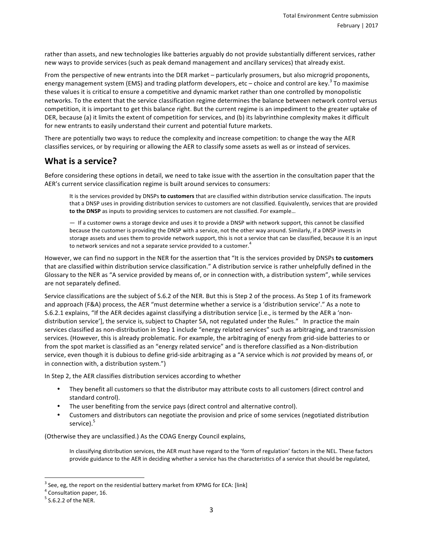rather than assets, and new technologies like batteries arguably do not provide substantially different services, rather new ways to provide services (such as peak demand management and ancillary services) that already exist.

From the perspective of new entrants into the DER market – particularly prosumers, but also microgrid proponents, energy management system (EMS) and trading platform developers, etc – choice and control are key.<sup>3</sup> To maximise these values it is critical to ensure a competitive and dynamic market rather than one controlled by monopolistic networks. To the extent that the service classification regime determines the balance between network control versus competition, it is important to get this balance right. But the current regime is an impediment to the greater uptake of DER, because (a) it limits the extent of competition for services, and (b) its labyrinthine complexity makes it difficult for new entrants to easily understand their current and potential future markets.

There are potentially two ways to reduce the complexity and increase competition: to change the way the AER classifies services, or by requiring or allowing the AER to classify some assets as well as or instead of services.

#### **What** is a service?

Before considering these options in detail, we need to take issue with the assertion in the consultation paper that the AER's current service classification regime is built around services to consumers:

It is the services provided by DNSPs to customers that are classified within distribution service classification. The inputs that a DNSP uses in providing distribution services to customers are not classified. Equivalently, services that are provided **to the DNSP** as inputs to providing services to customers are not classified. For example...

 $-$  If a customer owns a storage device and uses it to provide a DNSP with network support, this cannot be classified because the customer is providing the DNSP with a service, not the other way around. Similarly, if a DNSP invests in storage assets and uses them to provide network support, this is not a service that can be classified, because it is an input to network services and not a separate service provided to a customer.<sup>4</sup>

However, we can find no support in the NER for the assertion that "It is the services provided by DNSPs to customers that are classified within distribution service classification." A distribution service is rather unhelpfully defined in the Glossary to the NER as "A service provided by means of, or in connection with, a distribution system", while services are not separately defined.

Service classifications are the subject of S.6.2 of the NER. But this is Step 2 of the process. As Step 1 of its framework and approach (F&A) process, the AER "must determine whether a service is a 'distribution service'." As a note to S.6.2.1 explains, "If the AER decides against classifying a distribution service [i.e., is termed by the AER a 'nondistribution service'], the service is, subject to Chapter 5A, not regulated under the Rules." In practice the main services classified as non-distribution in Step 1 include "energy related services" such as arbitraging, and transmission services. (However, this is already problematic. For example, the arbitraging of energy from grid-side batteries to or from the spot market is classified as an "energy related service" and is therefore classified as a Non-distribution service, even though it is dubious to define grid-side arbitraging as a "A service which is *not* provided by means of, or in connection with, a distribution system.")

In Step 2, the AER classifies distribution services according to whether

- They benefit all customers so that the distributor may attribute costs to all customers (direct control and standard control).
- The user benefiting from the service pays (direct control and alternative control).
- Customers and distributors can negotiate the provision and price of some services (negotiated distribution service).<sup>5</sup>

(Otherwise they are unclassified.) As the COAG Energy Council explains,

In classifying distribution services, the AER must have regard to the 'form of regulation' factors in the NEL. These factors provide guidance to the AER in deciding whether a service has the characteristics of a service that should be regulated,

 $3$  See, eg, the report on the residential battery market from KPMG for ECA: [link]

 $4$  Consultation paper, 16.

 $<sup>5</sup>$  S.6.2.2 of the NER.</sup>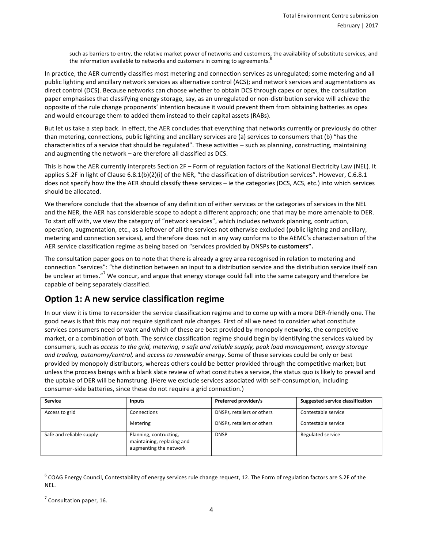such as barriers to entry, the relative market power of networks and customers, the availability of substitute services, and the information available to networks and customers in coming to agreements.<sup>6</sup>

In practice, the AER currently classifies most metering and connection services as unregulated; some metering and all public lighting and ancillary network services as alternative control (ACS); and network services and augmentations as direct control (DCS). Because networks can choose whether to obtain DCS through capex or opex, the consultation paper emphasises that classifying energy storage, say, as an unregulated or non-distribution service will achieve the opposite of the rule change proponents' intention because it would prevent them from obtaining batteries as opex and would encourage them to added them instead to their capital assets (RABs).

But let us take a step back. In effect, the AER concludes that everything that networks currently or previously do other than metering, connections, public lighting and ancillary services are (a) services to consumers that (b) "has the characteristics of a service that should be regulated". These activities - such as planning, constructing, maintaining and augmenting the network  $-$  are therefore all classified as DCS.

This is how the AER currently interprets Section 2F – Form of regulation factors of the National Electricity Law (NEL). It applies S.2F in light of Clause 6.8.1(b)(2)(i) of the NER, "the classification of distribution services". However, C.6.8.1 does not specify how the the AER should classify these services – ie the categories (DCS, ACS, etc.) into which services should be allocated.

We therefore conclude that the absence of any definition of either services or the categories of services in the NEL and the NER, the AER has considerable scope to adopt a different approach; one that may be more amenable to DER. To start off with, we view the category of "network services", which includes network planning, contruction, operation, augmentation, etc., as a leftover of all the services not otherwise excluded (public lighting and ancillary, metering and connection services), and therefore does not in any way conforms to the AEMC's characterisation of the AER service classification regime as being based on "services provided by DNSPs to customers".

The consultation paper goes on to note that there is already a grey area recognised in relation to metering and connection "services": "the distinction between an input to a distribution service and the distribution service itself can be unclear at times."<sup>7</sup> We concur, and argue that energy storage could fall into the same category and therefore be capable of being separately classified.

#### **Option 1: A new service classification regime**

In our view it is time to reconsider the service classification regime and to come up with a more DER-friendly one. The good news is that this may not require significant rule changes. First of all we need to consider what constitute services consumers need or want and which of these are best provided by monopoly networks, the competitive market, or a combination of both. The service classification regime should begin by identifying the services valued by consumers, such as *access to the grid, metering, a safe and reliable supply, peak load management, energy storage and trading, autonomy/control,* and *access to renewable energy*. Some of these services could be only or best provided by monopoly distributors, whereas others could be better provided through the competitive market; but unless the process beings with a blank slate review of what constitutes a service, the status quo is likely to prevail and the uptake of DER will be hamstrung. (Here we exclude services associated with self-consumption, including consumer-side batteries, since these do not require a grid connection.)

| <b>Service</b>           | <b>Inputs</b>                                                                  | Preferred provider/s       | Suggested service classification |
|--------------------------|--------------------------------------------------------------------------------|----------------------------|----------------------------------|
| Access to grid           | Connections                                                                    | DNSPs, retailers or others | Contestable service              |
|                          | Metering                                                                       | DNSPs, retailers or others | Contestable service              |
| Safe and reliable supply | Planning, contructing,<br>maintaining, replacing and<br>augmenting the network | <b>DNSP</b>                | Regulated service                |

 $6$  COAG Energy Council, Contestability of energy services rule change request, 12. The Form of regulation factors are S.2F of the NEL.

 $<sup>7</sup>$  Consultation paper, 16.</sup>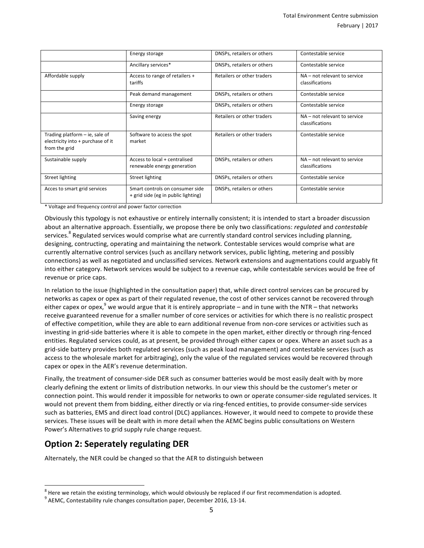|                                                                                        | Energy storage                                                         | DNSPs, retailers or others | Contestable service                             |
|----------------------------------------------------------------------------------------|------------------------------------------------------------------------|----------------------------|-------------------------------------------------|
|                                                                                        | Ancillary services*                                                    | DNSPs, retailers or others | Contestable service                             |
| Affordable supply                                                                      | Access to range of retailers +<br>tariffs                              | Retailers or other traders | NA - not relevant to service<br>classifications |
|                                                                                        | Peak demand management                                                 | DNSPs, retailers or others | Contestable service                             |
|                                                                                        | Energy storage                                                         | DNSPs, retailers or others | Contestable service                             |
|                                                                                        | Saving energy                                                          | Retailers or other traders | NA - not relevant to service<br>classifications |
| Trading platform $-$ ie, sale of<br>electricity into + purchase of it<br>from the grid | Software to access the spot<br>market                                  | Retailers or other traders | Contestable service                             |
| Sustainable supply                                                                     | Access to local + centralised<br>renewable energy generation           | DNSPs, retailers or others | NA - not relevant to service<br>classifications |
| Street lighting                                                                        | <b>Street lighting</b>                                                 | DNSPs, retailers or others | Contestable service                             |
| Acces to smart grid services                                                           | Smart controls on consumer side<br>+ grid side (eg in public lighting) | DNSPs, retailers or others | Contestable service                             |

\* Voltage and frequency control and power factor correction

Obviously this typology is not exhaustive or entirely internally consistent; it is intended to start a broader discussion about an alternative approach. Essentially, we propose there be only two classifications: *regulated* and *contestable* services.<sup>8</sup> Regulated services would comprise what are currently standard control services including planning, designing, contructing, operating and maintaining the network. Contestable services would comprise what are currently alternative control services (such as ancillary network services, public lighting, metering and possibly connections) as well as negotiated and unclassified services. Network extensions and augmentations could arguably fit into either category. Network services would be subject to a revenue cap, while contestable services would be free of revenue or price caps.

In relation to the issue (highlighted in the consultation paper) that, while direct control services can be procured by networks as capex or opex as part of their regulated revenue, the cost of other services cannot be recovered through either capex or opex,<sup>9</sup> we would argue that it is entirely appropriate – and in tune with the NTR – that networks receive guaranteed revenue for a smaller number of core services or activities for which there is no realistic prospect of effective competition, while they are able to earn additional revenue from non-core services or activities such as investing in grid-side batteries where it is able to compete in the open market, either directly or through ring-fenced entities. Regulated services could, as at present, be provided through either capex or opex. Where an asset such as a grid-side battery provides both regulated services (such as peak load management) and contestable services (such as access to the wholesale market for arbitraging), only the value of the regulated services would be recovered through capex or opex in the AER's revenue determination.

Finally, the treatment of consumer-side DER such as consumer batteries would be most easily dealt with by more clearly defining the extent or limits of distribution networks. In our view this should be the customer's meter or connection point. This would render it impossible for networks to own or operate consumer-side regulated services. It would not prevent them from bidding, either directly or via ring-fenced entities, to provide consumer-side services such as batteries, EMS and direct load control (DLC) appliances. However, it would need to compete to provide these services. These issues will be dealt with in more detail when the AEMC begins public consultations on Western Power's Alternatives to grid supply rule change request.

#### **Option 2: Seperately regulating DER**

Alternately, the NER could be changed so that the AER to distinguish between

<sup>&</sup>lt;sup>8</sup> Here we retain the existing terminology, which would obviously be replaced if our first recommendation is adopted.<br><sup>9</sup> AEMC, Contestability rule changes consultation paper, December 2016, 13-14.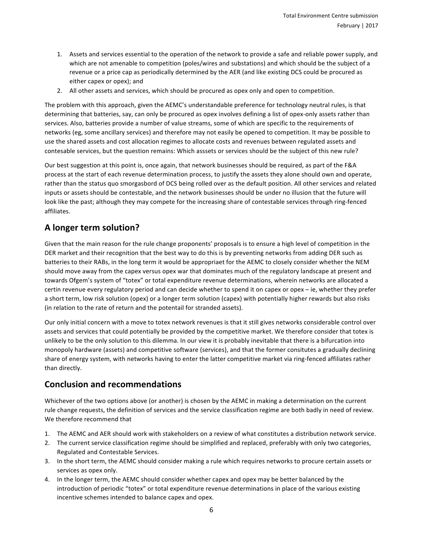- 1. Assets and services essential to the operation of the network to provide a safe and reliable power supply, and which are not amenable to competition (poles/wires and substations) and which should be the subject of a revenue or a price cap as periodically determined by the AER (and like existing DCS could be procured as either capex or opex); and
- 2. All other assets and services, which should be procured as opex only and open to competition.

The problem with this approach, given the AEMC's understandable preference for technology neutral rules, is that determining that batteries, say, can only be procured as opex involves defining a list of opex-only assets rather than services. Also, batteries provide a number of value streams, some of which are specific to the requirements of networks (eg, some ancillary services) and therefore may not easily be opened to competition. It may be possible to use the shared assets and cost allocation regimes to allocate costs and revenues between regulated assets and contesable services, but the question remains: Which asssets or services should be the subject of this new rule?

Our best suggestion at this point is, once again, that network businesses should be required, as part of the F&A process at the start of each revenue determination process, to justify the assets they alone should own and operate, rather than the status quo smorgasbord of DCS being rolled over as the default position. All other services and related inputs or assets should be contestable, and the network businesses should be under no illusion that the future will look like the past; although they may compete for the increasing share of contestable services through ring-fenced affiliates.

## **A longer term solution?**

Given that the main reason for the rule change proponents' proposals is to ensure a high level of competition in the DER market and their recognition that the best way to do this is by preventing networks from adding DER such as batteries to their RABs, in the long term it would be appropriaet for the AEMC to closely consider whether the NEM should move away from the capex versus opex war that dominates much of the regulatory landscape at present and towards Ofgem's system of "totex" or total expenditure revenue determinations, wherein networks are allocated a certin revenue every regulatory period and can decide whether to spend it on capex or opex - ie, whether they prefer a short term, low risk solution (opex) or a longer term solution (capex) with potentially higher rewards but also risks (in relation to the rate of return and the potentail for stranded assets).

Our only initial concern with a move to totex network revenues is that it still gives networks considerable control over assets and services that could potentially be provided by the competitive market. We therefore consider that totex is unlikely to be the only solution to this dilemma. In our view it is probably inevitable that there is a bifurcation into monopoly hardware (assets) and competitive software (services), and that the former consitutes a gradually declining share of energy system, with networks having to enter the latter competitive market via ring-fenced affiliates rather than directly.

#### **Conclusion and recommendations**

Whichever of the two options above (or another) is chosen by the AEMC in making a determination on the current rule change requests, the definition of services and the service classification regime are both badly in need of review. We therefore recommend that

- 1. The AEMC and AER should work with stakeholders on a review of what constitutes a distribution network service.
- 2. The current service classification regime should be simplified and replaced, preferably with only two categories, Regulated and Contestable Services.
- 3. In the short term, the AEMC should consider making a rule which requires networks to procure certain assets or services as opex only.
- 4. In the longer term, the AEMC should consider whether capex and opex may be better balanced by the introduction of periodic "totex" or total expenditure revenue determinations in place of the various existing incentive schemes intended to balance capex and opex.